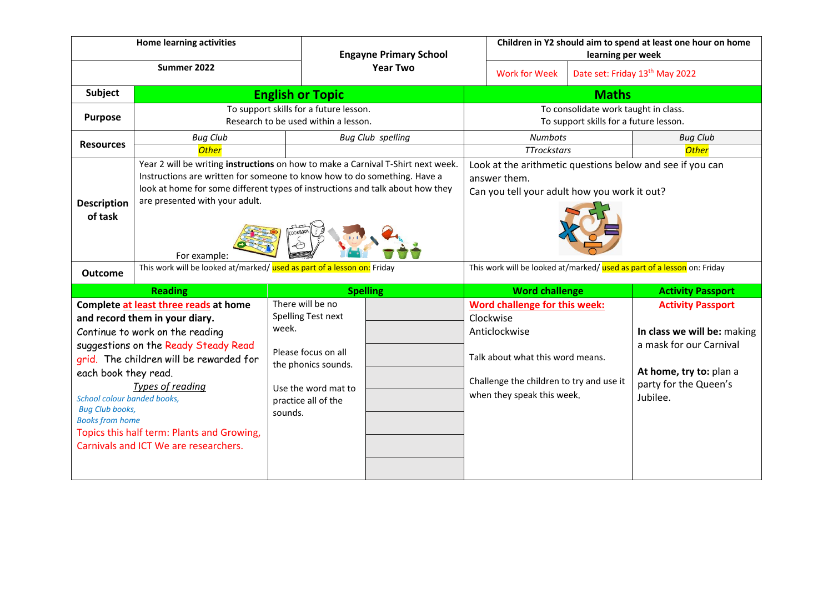|                                                                                                                                                                                                                                                                                                                                                                                                                                       | <b>Home learning activities</b>                                                                                                                                                                                                                                                                                                                                            |                                                                                                                                                                           | <b>Engayne Primary School</b> |                                                                                                                                                                                                      | Children in Y2 should aim to spend at least one hour on home<br>learning per week                                                                                         |  |                                                                                                                                                    |  |
|---------------------------------------------------------------------------------------------------------------------------------------------------------------------------------------------------------------------------------------------------------------------------------------------------------------------------------------------------------------------------------------------------------------------------------------|----------------------------------------------------------------------------------------------------------------------------------------------------------------------------------------------------------------------------------------------------------------------------------------------------------------------------------------------------------------------------|---------------------------------------------------------------------------------------------------------------------------------------------------------------------------|-------------------------------|------------------------------------------------------------------------------------------------------------------------------------------------------------------------------------------------------|---------------------------------------------------------------------------------------------------------------------------------------------------------------------------|--|----------------------------------------------------------------------------------------------------------------------------------------------------|--|
| Summer 2022                                                                                                                                                                                                                                                                                                                                                                                                                           |                                                                                                                                                                                                                                                                                                                                                                            |                                                                                                                                                                           | <b>Year Two</b>               |                                                                                                                                                                                                      | <b>Work for Week</b>                                                                                                                                                      |  | Date set: Friday 13 <sup>th</sup> May 2022                                                                                                         |  |
| Subject                                                                                                                                                                                                                                                                                                                                                                                                                               | <b>English or Topic</b>                                                                                                                                                                                                                                                                                                                                                    |                                                                                                                                                                           |                               | <b>Maths</b>                                                                                                                                                                                         |                                                                                                                                                                           |  |                                                                                                                                                    |  |
| <b>Purpose</b>                                                                                                                                                                                                                                                                                                                                                                                                                        | To support skills for a future lesson.<br>Research to be used within a lesson.                                                                                                                                                                                                                                                                                             |                                                                                                                                                                           |                               | To consolidate work taught in class.<br>To support skills for a future lesson.                                                                                                                       |                                                                                                                                                                           |  |                                                                                                                                                    |  |
| <b>Resources</b>                                                                                                                                                                                                                                                                                                                                                                                                                      | <b>Bug Club</b><br><b>Other</b>                                                                                                                                                                                                                                                                                                                                            |                                                                                                                                                                           | <b>Bug Club spelling</b>      |                                                                                                                                                                                                      | <b>Numbots</b><br><b>TTrockstars</b>                                                                                                                                      |  | <b>Bug Club</b><br><b>Other</b>                                                                                                                    |  |
| <b>Description</b><br>of task<br><b>Outcome</b>                                                                                                                                                                                                                                                                                                                                                                                       | Year 2 will be writing instructions on how to make a Carnival T-Shirt next week.<br>Instructions are written for someone to know how to do something. Have a<br>look at home for some different types of instructions and talk about how they<br>are presented with your adult.<br>For example:<br>This work will be looked at/marked/ used as part of a lesson on: Friday |                                                                                                                                                                           |                               | Look at the arithmetic questions below and see if you can<br>answer them.<br>Can you tell your adult how you work it out?<br>This work will be looked at/marked/ used as part of a lesson on: Friday |                                                                                                                                                                           |  |                                                                                                                                                    |  |
|                                                                                                                                                                                                                                                                                                                                                                                                                                       |                                                                                                                                                                                                                                                                                                                                                                            |                                                                                                                                                                           |                               | <b>Word challenge</b><br><b>Activity Passport</b>                                                                                                                                                    |                                                                                                                                                                           |  |                                                                                                                                                    |  |
| <b>Reading</b><br>Complete at least three reads at home<br>and record them in your diary.<br>Continue to work on the reading<br>suggestions on the Ready Steady Read<br>grid. The children will be rewarded for<br>each book they read.<br>Types of reading<br>School colour banded books,<br><b>Bug Club books,</b><br><b>Books from home</b><br>Topics this half term: Plants and Growing,<br>Carnivals and ICT We are researchers. |                                                                                                                                                                                                                                                                                                                                                                            | <b>Spelling</b><br>There will be no<br>Spelling Test next<br>week.<br>Please focus on all<br>the phonics sounds.<br>Use the word mat to<br>practice all of the<br>sounds. |                               |                                                                                                                                                                                                      | Word challenge for this week:<br>Clockwise<br>Anticlockwise<br>Talk about what this word means.<br>Challenge the children to try and use it<br>when they speak this week. |  | <b>Activity Passport</b><br>In class we will be: making<br>a mask for our Carnival<br>At home, try to: plan a<br>party for the Queen's<br>Jubilee. |  |